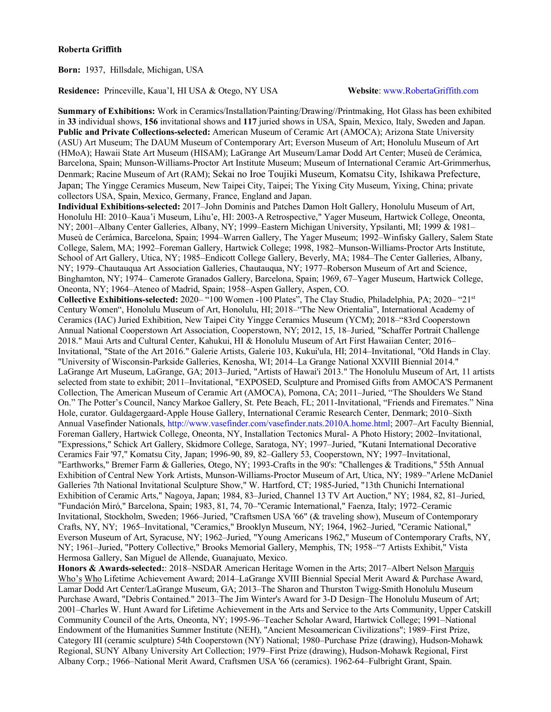**Born:** 1937, Hillsdale, Michigan, USA

**Residence:** Princeville, Kaua'I, HI USA & Otego, NY USA **Website**: www.RobertaGriffith.com

**Summary of Exhibitions:** Work in Ceramics/Installation/Painting/Drawing//Printmaking, Hot Glass has been exhibited in **33** individual shows, **156** invitational shows and **117** juried shows in USA, Spain, Mexico, Italy, Sweden and Japan. **Public and Private Collections-selected:** American Museum of Ceramic Art (AMOCA); Arizona State University (ASU) Art Museum; The DAUM Museum of Contemporary Art; Everson Museum of Art; Honolulu Museum of Art (HMoA); Hawaii State Art Museum (HISAM); LaGrange Art Museum/Lamar Dodd Art Center; Museù de Cerámica, Barcelona, Spain; Munson-Williams-Proctor Art Institute Museum; Museum of International Ceramic Art-Grimmerhus, Denmark; Racine Museum of Art (RAM); Sekai no Iroe Toujiki Museum, Komatsu City, Ishikawa Prefecture, Japan; The Yingge Ceramics Museum, New Taipei City, Taipei; The Yixing City Museum, Yixing, China; private collectors USA, Spain, Mexico, Germany, France, England and Japan.

**Individual Exhibitions-selected:** 2017–John Dominis and Patches Damon Holt Gallery, Honolulu Museum of Art, Honolulu HI: 2010–Kaua'i Museum, Lihu'e, HI: 2003-A Retrospective," Yager Museum, Hartwick College, Oneonta, NY; 2001–Albany Center Galleries, Albany, NY; 1999–Eastern Michigan University, Ypsilanti, MI; 1999 & 1981– Museù de Cerámica, Barcelona, Spain; 1994–Warren Gallery, The Yager Museum; 1992–Winfisky Gallery, Salem State College, Salem, MA; 1992–Foreman Gallery, Hartwick College; 1998, 1982–Munson-Williams-Proctor Arts Institute, School of Art Gallery, Utica, NY; 1985–Endicott College Gallery, Beverly, MA; 1984–The Center Galleries, Albany, NY; 1979–Chautauqua Art Association Galleries, Chautauqua, NY; 1977–Roberson Museum of Art and Science, Binghamton, NY; 1974– Camerote Granados Gallery, Barcelona, Spain; 1969, 67–Yager Museum, Hartwick College, Oneonta, NY; 1964–Ateneo of Madrid, Spain; 1958–Aspen Gallery, Aspen, CO.

**Collective Exhibitions-selected:** 2020– "100 Women -100 Plates", The Clay Studio, Philadelphia, PA; 2020– "21st Century Women", Honolulu Museum of Art, Honolulu, HI; 2018–"The New Orientalia", International Academy of Ceramics (IAC) Juried Exhibition, New Taipei City Yingge Ceramics Museum (YCM); 2018–"83rd Cooperstown Annual National Cooperstown Art Association, Cooperstown, NY; 2012, 15, 18–Juried, "Schaffer Portrait Challenge 2018." Maui Arts and Cultural Center, Kahukui, HI & Honolulu Museum of Art First Hawaiian Center; 2016– Invitational, "State of the Art 2016." Galerie Artists, Galerie 103, Kukui'ula, HI; 2014–Invitational, "Old Hands in Clay. "University of Wisconsin-Parkside Galleries, Kenosha, WI; 2014–La Grange National XXVIII Biennial 2014." LaGrange Art Museum, LaGrange, GA; 2013–Juried, "Artists of Hawai'i 2013." The Honolulu Museum of Art, 11 artists selected from state to exhibit; 2011–Invitational, "EXPOSED, Sculpture and Promised Gifts from AMOCA'S Permanent Collection, The American Museum of Ceramic Art (AMOCA), Pomona, CA; 2011–Juried, "The Shoulders We Stand On." The Potter's Council, Nancy Markoe Gallery, St. Pete Beach, FL; 2011-Invitational, "Friends and Firemates." Nina Hole, curator. Guldagergaard-Apple House Gallery, International Ceramic Research Center, Denmark; 2010–Sixth Annual Vasefinder Nationals, http://www.vasefinder.com/vasefinder.nats.2010A.home.html; 2007–Art Faculty Biennial, Foreman Gallery, Hartwick College, Oneonta, NY, Installation Tectonics Mural- A Photo History; 2002–Invitational, "Expressions," Schick Art Gallery, Skidmore College, Saratoga, NY; 1997–Juried, "Kutani International Decorative Ceramics Fair '97," Komatsu City, Japan; 1996-90, 89, 82–Gallery 53, Cooperstown, NY; 1997–Invitational, "Earthworks," Bremer Farm & Galleries, Otego, NY; 1993-Crafts in the 90's: "Challenges & Traditions," 55th Annual Exhibition of Central New York Artists, Munson-Williams-Proctor Museum of Art, Utica, NY; 1989–"Arlene McDaniel Galleries 7th National Invitational Sculpture Show," W. Hartford, CT; 1985-Juried, "13th Chunichi International Exhibition of Ceramic Arts," Nagoya, Japan; 1984, 83–Juried, Channel 13 TV Art Auction," NY; 1984, 82, 81–Juried, "Fundación Miró," Barcelona, Spain; 1983, 81, 74, 70–"Ceramic International," Faenza, Italy; 1972–Ceramic Invitational, Stockholm, Sweden; 1966–Juried, "Craftsmen USA '66" (& traveling show), Museum of Contemporary Crafts, NY, NY; 1965–Invitational, "Ceramics," Brooklyn Museum, NY; 1964, 1962–Juried, "Ceramic National," Everson Museum of Art, Syracuse, NY; 1962–Juried, "Young Americans 1962," Museum of Contemporary Crafts, NY, NY; 1961–Juried, "Pottery Collective," Brooks Memorial Gallery, Memphis, TN; 1958–"7 Artists Exhibit," Vista Hermosa Gallery, San Miguel de Allende, Guanajuato, Mexico.

**Honors & Awards-selected:**: 2018–NSDAR American Heritage Women in the Arts; 2017–Albert Nelson Marquis Who's Who Lifetime Achievement Award; 2014–LaGrange XVIII Biennial Special Merit Award & Purchase Award, Lamar Dodd Art Center/LaGrange Museum, GA; 2013–The Sharon and Thurston Twigg-Smith Honolulu Museum Purchase Award, "Debris Contained." 2013–The Jim Winter's Award for 3-D Design–The Honolulu Museum of Art; 2001–Charles W. Hunt Award for Lifetime Achievement in the Arts and Service to the Arts Community, Upper Catskill Community Council of the Arts, Oneonta, NY; 1995-96–Teacher Scholar Award, Hartwick College; 1991–National Endowment of the Humanities Summer Institute (NEH), "Ancient Mesoamerican Civilizations"; 1989–First Prize, Category III (ceramic sculpture) 54th Cooperstown (NY) National; 1980–Purchase Prize (drawing), Hudson-Mohawk Regional, SUNY Albany University Art Collection; 1979–First Prize (drawing), Hudson-Mohawk Regional, First Albany Corp.; 1966–National Merit Award, Craftsmen USA '66 (ceramics). 1962-64–Fulbright Grant, Spain.